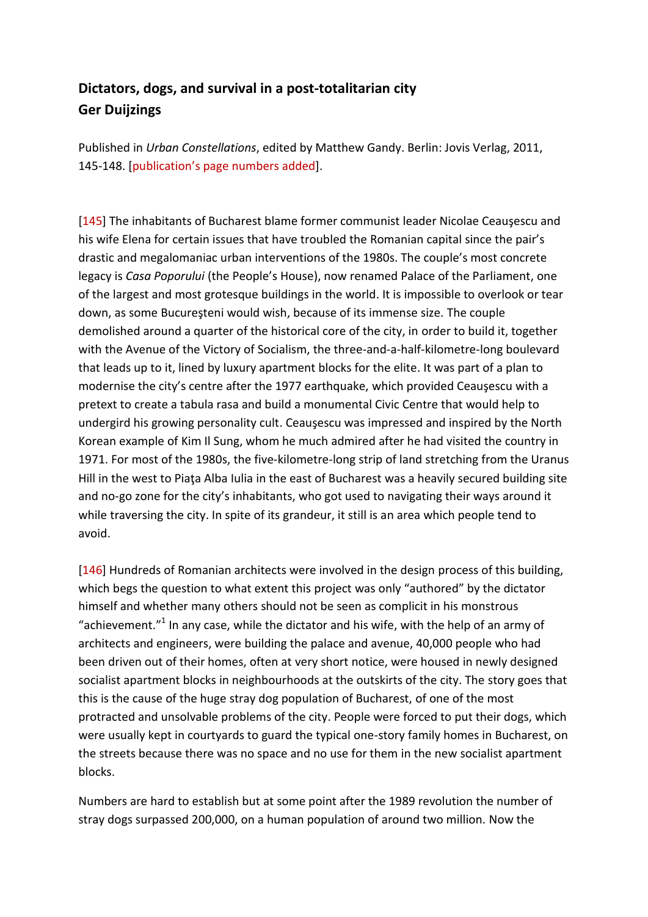## **Dictators, dogs, and survival in a post-totalitarian city Ger Duijzings**

Published in *Urban Constellations*, edited by Matthew Gandy. Berlin: Jovis Verlag, 2011, 145-148. [publication's page numbers added].

[145] The inhabitants of Bucharest blame former communist leader Nicolae Ceauşescu and his wife Elena for certain issues that have troubled the Romanian capital since the pair's drastic and megalomaniac urban interventions of the 1980s. The couple's most concrete legacy is *Casa Poporului* (the People's House), now renamed Palace of the Parliament, one of the largest and most grotesque buildings in the world. It is impossible to overlook or tear down, as some Bucureşteni would wish, because of its immense size. The couple demolished around a quarter of the historical core of the city, in order to build it, together with the Avenue of the Victory of Socialism, the three-and-a-half-kilometre-long boulevard that leads up to it, lined by luxury apartment blocks for the elite. It was part of a plan to modernise the city's centre after the 1977 earthquake, which provided Ceauşescu with a pretext to create a tabula rasa and build a monumental Civic Centre that would help to undergird his growing personality cult. Ceauşescu was impressed and inspired by the North Korean example of Kim Il Sung, whom he much admired after he had visited the country in 1971. For most of the 1980s, the five-kilometre-long strip of land stretching from the Uranus Hill in the west to Piaţa Alba Iulia in the east of Bucharest was a heavily secured building site and no-go zone for the city's inhabitants, who got used to navigating their ways around it while traversing the city. In spite of its grandeur, it still is an area which people tend to avoid.

[146] Hundreds of Romanian architects were involved in the design process of this building, which begs the question to what extent this project was only "authored" by the dictator himself and whether many others should not be seen as complicit in his monstrous "achievement."<sup>1</sup> In any case, while the dictator and his wife, with the help of an army of architects and engineers, were building the palace and avenue, 40,000 people who had been driven out of their homes, often at very short notice, were housed in newly designed socialist apartment blocks in neighbourhoods at the outskirts of the city. The story goes that this is the cause of the huge stray dog population of Bucharest, of one of the most protracted and unsolvable problems of the city. People were forced to put their dogs, which were usually kept in courtyards to guard the typical one-story family homes in Bucharest, on the streets because there was no space and no use for them in the new socialist apartment blocks.

Numbers are hard to establish but at some point after the 1989 revolution the number of stray dogs surpassed 200,000, on a human population of around two million. Now the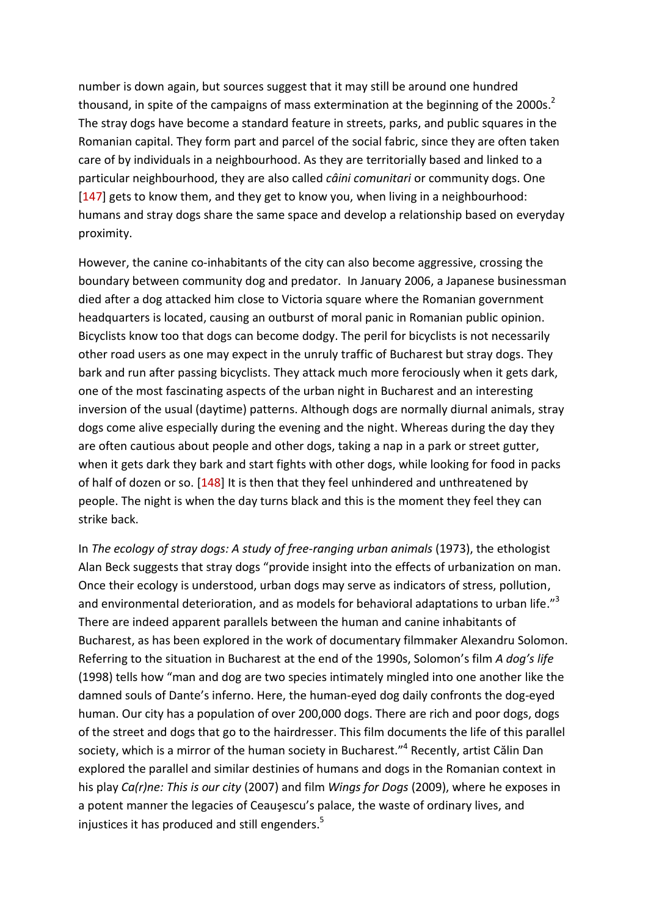number is down again, but sources suggest that it may still be around one hundred thousand, in spite of the campaigns of mass extermination at the beginning of the 2000s.<sup>2</sup> The stray dogs have become a standard feature in streets, parks, and public squares in the Romanian capital. They form part and parcel of the social fabric, since they are often taken care of by individuals in a neighbourhood. As they are territorially based and linked to a particular neighbourhood, they are also called *câini comunitari* or community dogs. One [147] gets to know them, and they get to know you, when living in a neighbourhood: humans and stray dogs share the same space and develop a relationship based on everyday proximity.

However, the canine co-inhabitants of the city can also become aggressive, crossing the boundary between community dog and predator. In January 2006, a Japanese businessman died after a dog attacked him close to Victoria square where the Romanian government headquarters is located, causing an outburst of moral panic in Romanian public opinion. Bicyclists know too that dogs can become dodgy. The peril for bicyclists is not necessarily other road users as one may expect in the unruly traffic of Bucharest but stray dogs. They bark and run after passing bicyclists. They attack much more ferociously when it gets dark, one of the most fascinating aspects of the urban night in Bucharest and an interesting inversion of the usual (daytime) patterns. Although dogs are normally diurnal animals, stray dogs come alive especially during the evening and the night. Whereas during the day they are often cautious about people and other dogs, taking a nap in a park or street gutter, when it gets dark they bark and start fights with other dogs, while looking for food in packs of half of dozen or so. [148] It is then that they feel unhindered and unthreatened by people. The night is when the day turns black and this is the moment they feel they can strike back.

In *The ecology of stray dogs: A study of free-ranging urban animals* (1973), the ethologist Alan Beck suggests that stray dogs "provide insight into the effects of urbanization on man. Once their ecology is understood, urban dogs may serve as indicators of stress, pollution, and environmental deterioration, and as models for behavioral adaptations to urban life."<sup>3</sup> There are indeed apparent parallels between the human and canine inhabitants of Bucharest, as has been explored in the work of documentary filmmaker Alexandru Solomon. Referring to the situation in Bucharest at the end of the 1990s, Solomon's film *A dog's life* (1998) tells how "man and dog are two species intimately mingled into one another like the damned souls of Dante's inferno. Here, the human-eyed dog daily confronts the dog-eyed human. Our city has a population of over 200,000 dogs. There are rich and poor dogs, dogs of the street and dogs that go to the hairdresser. This film documents the life of this parallel society, which is a mirror of the human society in Bucharest."<sup>4</sup> Recently, artist Călin Dan explored the parallel and similar destinies of humans and dogs in the Romanian context in his play *Ca(r)ne: This is our city* (2007) and film *Wings for Dogs* (2009), where he exposes in a potent manner the legacies of Ceauşescu's palace, the waste of ordinary lives, and injustices it has produced and still engenders.<sup>5</sup>